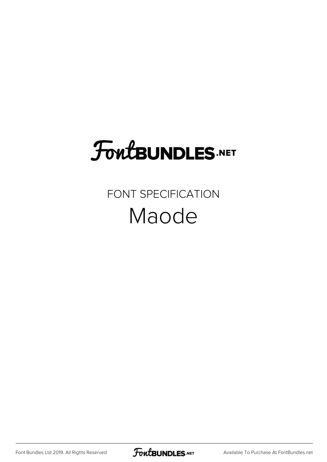# **FoutBUNDLES.NET**

#### FONT SPECIFICATION Maode

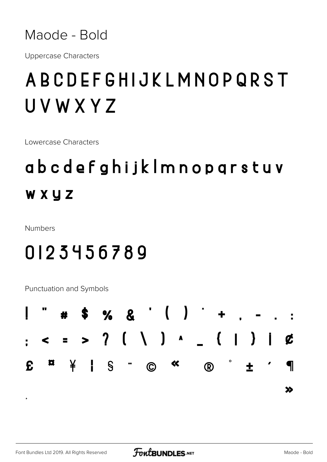

**Uppercase Characters** 

### ABCDEFGHIJKLMNOPQRST UVWXYZ

Lowercase Characters

# abcdefghijklmnopgrstuv WXYZ

Numbers

#### 0123456789

Punctuation and Symbols



 $\ddot{\phantom{0}}$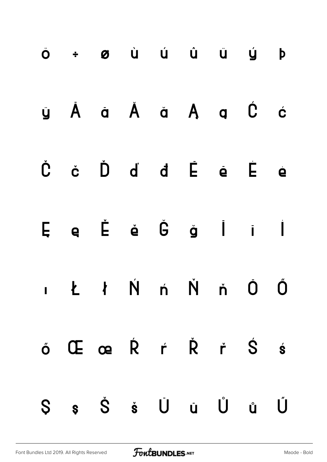| Ö ÷ Ø Ù Ú Û Ü Ú                                                                           |  |  |  | $\mathsf{p}$ |
|-------------------------------------------------------------------------------------------|--|--|--|--------------|
| y À a Å ă Ą ą Ć ć                                                                         |  |  |  |              |
| $\dot{C}$ $\dot{C}$ $\dot{D}$ $\dot{d}$ $\dot{d}$ $\dot{E}$ $\dot{e}$ $\dot{E}$ $\dot{e}$ |  |  |  |              |
| $E$ e $\acute{E}$ è $\acute{G}$ g i i                                                     |  |  |  |              |
| ILIN ń Ň ň Ō Ő                                                                            |  |  |  |              |
| ő Œ œ Ŕ ŕ Ř ř Ś ś                                                                         |  |  |  |              |
| Ss Šš Ŭ ŭ Ů ů                                                                             |  |  |  | Ű            |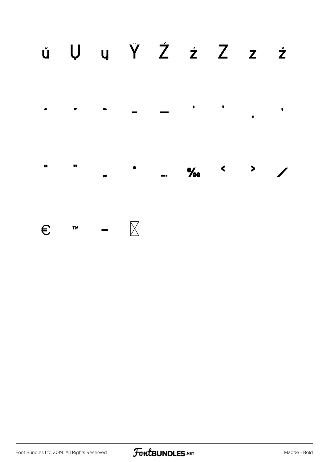

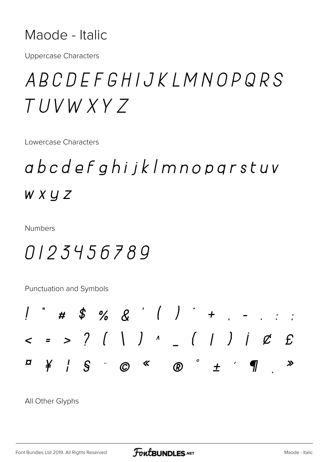#### Maode - Italic

**Uppercase Characters** 

## ABCDEFGHIJKLMNOPQRS TUVW XY 7

Lowercase Characters

## abcdefghijklmnopgrstuv  $W X Y Z$

Numbers

#### 0123456789

Punctuation and Symbols



All Other Glyphs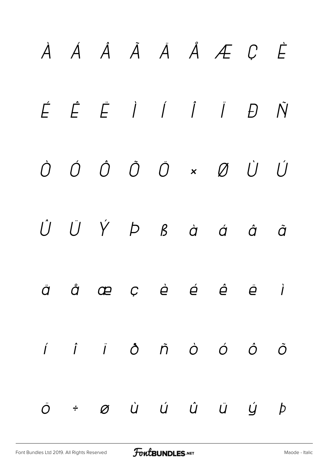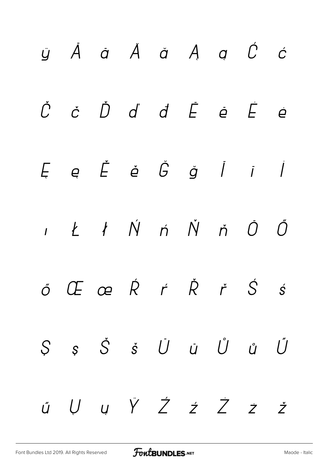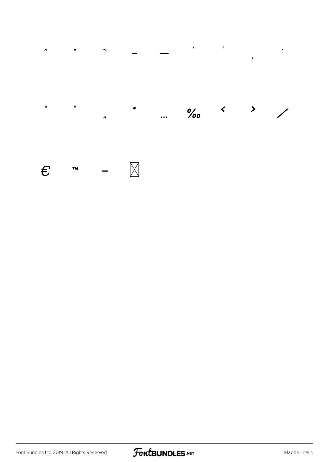

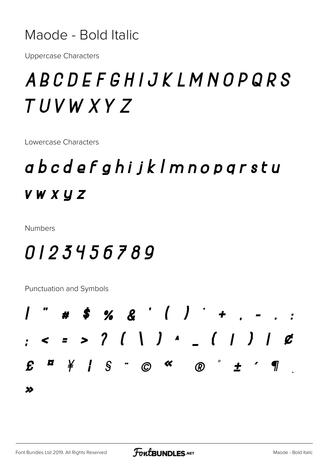Maode - Bold Italic

**Uppercase Characters** 

# ABCDEFGHIJKLMNOPQRS TUVW XYZ

Lowercase Characters

## abcdefghijklmnoparstu **VWXYZ**

Numbers

#### 0123456789

Punctuation and Symbols

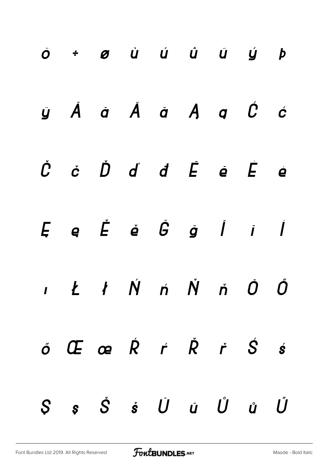| Ö ÷ Ø Ù Ú Û Ü Ü Ý Þ                                                                                         |  |  |  |  |
|-------------------------------------------------------------------------------------------------------------|--|--|--|--|
| ÿĂā Ă ă Ą ą Ć ć                                                                                             |  |  |  |  |
| $\dot{C}$ $\dot{C}$ $\dot{D}$ $\dot{d}$ $\dot{d}$ $\dot{E}$ $\dot{e}$ $\dot{E}$ $\dot{e}$                   |  |  |  |  |
| $E$ e $\check{E}$ é $\check{G}$ g $I$ $i$ $I$                                                               |  |  |  |  |
| ILIŃ Ń Ň ň Ô Ő                                                                                              |  |  |  |  |
| $\acute{o}$ $\overline{C}$ $\alpha$ $\acute{R}$ $\acute{r}$ $\acute{R}$ $\acute{r}$ $\acute{S}$ $\acute{s}$ |  |  |  |  |
| $S$ $s$ $\check{S}$ $\check{s}$ $\check{U}$ $\check{u}$ $\check{U}$ $\check{u}$ $\check{U}$                 |  |  |  |  |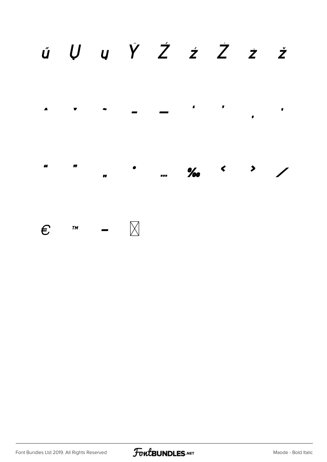

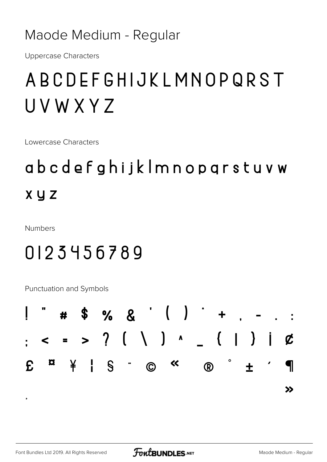#### Maode Medium - Regular

**Uppercase Characters** 

## ABCDEFGHIJKLMNOPQRST UVWXYZ

Lowercase Characters

# abcdefghijklmnopgrstuvw **X y Z**

**Numbers** 

#### 0123456789

Punctuation and Symbols

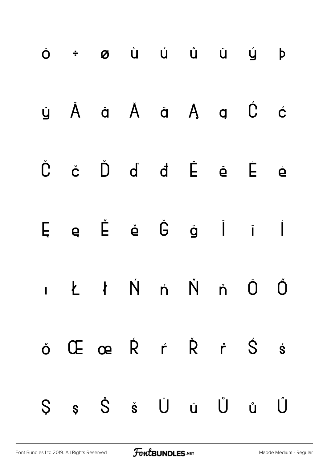| Ö + Ø Ù Ú Û Û Ů Ý Þ                                                                                     |  |                             |  |  |
|---------------------------------------------------------------------------------------------------------|--|-----------------------------|--|--|
| y À a Å ă Ą ą Ć ć                                                                                       |  |                             |  |  |
| Č č                                                                                                     |  | $\dot{D}$ d d $\dot{E}$ e e |  |  |
| $E \quad e \quad \check{E} \quad \check{e} \quad \check{G} \quad \check{g} \quad \dot{I} \quad \dot{I}$ |  |                             |  |  |
| ILIN ń Ň ň Ō Ő                                                                                          |  |                             |  |  |
| ő Œ œ Ŕ ŕ Ř ř Ś ś                                                                                       |  |                             |  |  |
| Ş ş Š š Ū ū Ů ů Ű                                                                                       |  |                             |  |  |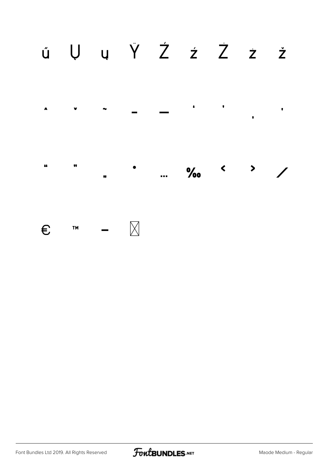

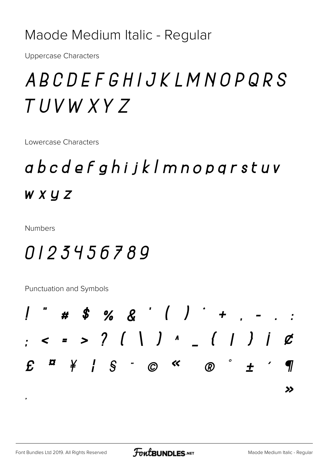#### Maode Medium Italic - Regular

**Uppercase Characters** 

# ABCDEFGHIJKLMNOPQRS TUVW XYZ

Lowercase Characters

# abcdefghijklmnoparstuv **WXYZ**

**Numbers** 

#### 0123456789

Punctuation and Symbols

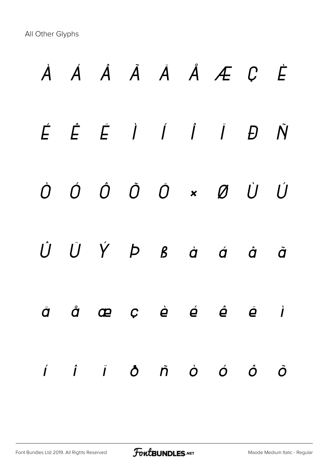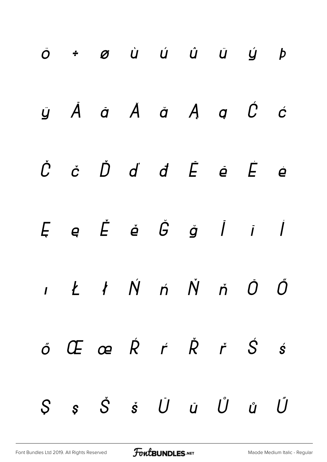| Ö + Ø Ù Ú Û Ü Ü Ý Þ                                                                                                       |  |  |  |  |
|---------------------------------------------------------------------------------------------------------------------------|--|--|--|--|
| ÿ Å å Å å Å ą Ć ć                                                                                                         |  |  |  |  |
| $\check{C}$ $\check{C}$ $\check{D}$ $\check{d}$ $\check{d}$ $\check{E}$ $\check{e}$ $\check{E}$ $\check{e}$               |  |  |  |  |
| $E \quad \textbf{e} \quad \check{E} \quad \check{\textbf{e}} \quad \check{G} \quad \check{g} \quad \dot{I} \quad \dot{I}$ |  |  |  |  |
| $I$ $I$ $N$ $n$ $N$ $n$ $0$ $0$                                                                                           |  |  |  |  |
| $\acute{o}$ $\acute{C}$ $\acute{C}$ $\acute{C}$ $\acute{R}$ $\acute{C}$ $\acute{C}$ $\acute{S}$ $\acute{S}$               |  |  |  |  |
| $S$ $s$ $\check{S}$ $\check{s}$ $\check{U}$ $\check{u}$ $\check{U}$ $\check{u}$ $\check{U}$                               |  |  |  |  |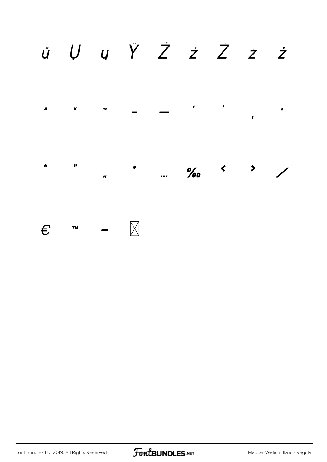

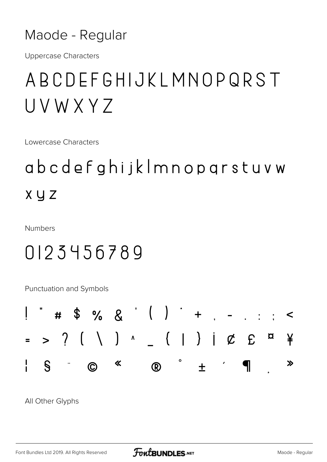#### Maode - Regular

**Uppercase Characters** 

### ABCDEFGHIJKLMNOPQRST UVWXY7

Lowercase Characters

# abcdefghijklmnopgrstuvw **X** y z

Numbers

#### 0123456789

Punctuation and Symbols



All Other Glyphs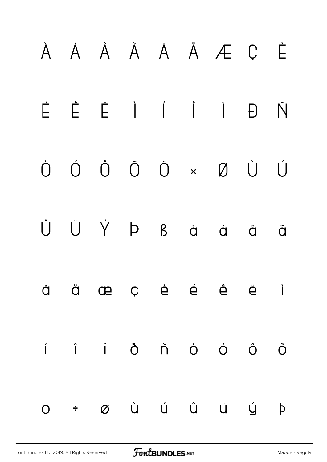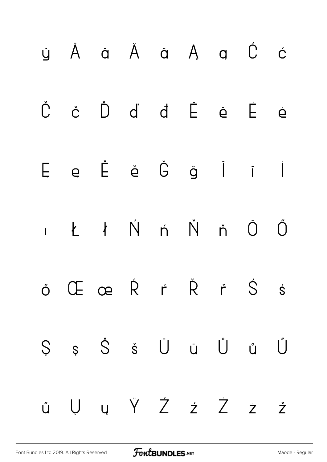